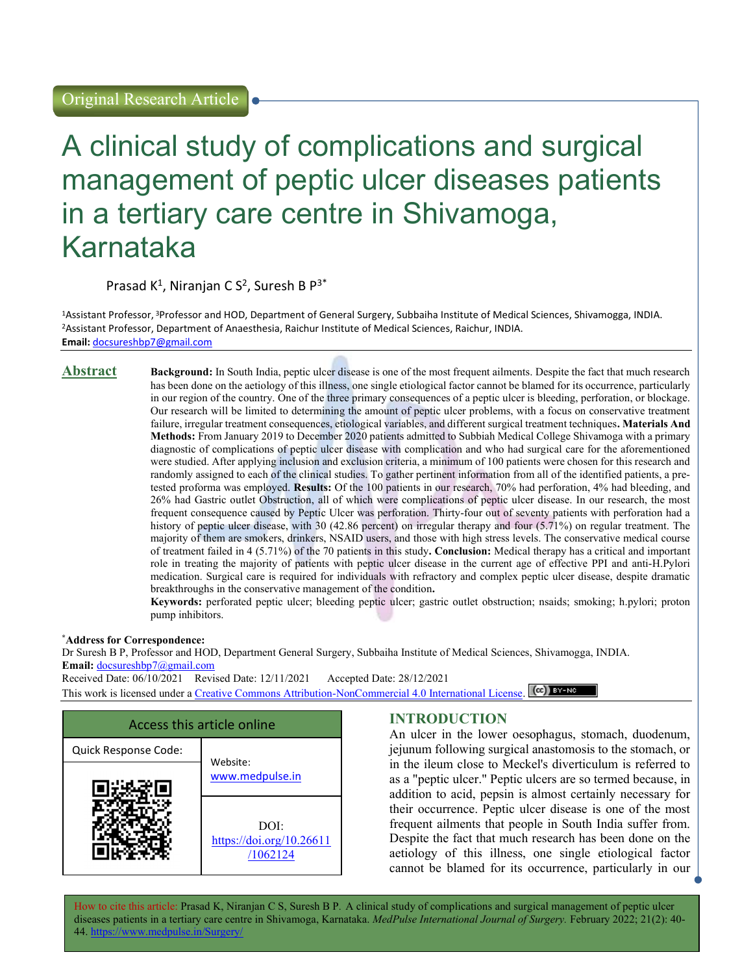# A clinical study of complications and surgical management of peptic ulcer diseases patients in a tertiary care centre in Shivamoga, Karnataka

Prasad  $K^1$ , Niranjan C S<sup>2</sup>, Suresh B P<sup>3\*</sup>

<sup>1</sup>Assistant Professor, <sup>3</sup>Professor and HOD, Department of General Surgery, Subbaiha Institute of Medical Sciences, Shivamogga, INDIA. <sup>2</sup>Assistant Professor, Department of Anaesthesia, Raichur Institute of Medical Sciences, Raichur, INDIA. Email: docsureshbp7@gmail.com

Abstract Background: In South India, peptic ulcer disease is one of the most frequent ailments. Despite the fact that much research has been done on the aetiology of this illness, one single etiological factor cannot be blamed for its occurrence, particularly in our region of the country. One of the three primary consequences of a peptic ulcer is bleeding, perforation, or blockage. Our research will be limited to determining the amount of peptic ulcer problems, with a focus on conservative treatment failure, irregular treatment consequences, etiological variables, and different surgical treatment techniques. Materials And Methods: From January 2019 to December 2020 patients admitted to Subbiah Medical College Shivamoga with a primary diagnostic of complications of peptic ulcer disease with complication and who had surgical care for the aforementioned were studied. After applying inclusion and exclusion criteria, a minimum of 100 patients were chosen for this research and randomly assigned to each of the clinical studies. To gather pertinent information from all of the identified patients, a pretested proforma was employed. Results: Of the 100 patients in our research, 70% had perforation, 4% had bleeding, and 26% had Gastric outlet Obstruction, all of which were complications of peptic ulcer disease. In our research, the most frequent consequence caused by Peptic Ulcer was perforation. Thirty-four out of seventy patients with perforation had a history of peptic ulcer disease, with 30 (42.86 percent) on irregular therapy and four (5.71%) on regular treatment. The majority of them are smokers, drinkers, NSAID users, and those with high stress levels. The conservative medical course of treatment failed in 4 (5.71%) of the 70 patients in this study. Conclusion: Medical therapy has a critical and important role in treating the majority of patients with peptic ulcer disease in the current age of effective PPI and anti-H.Pylori medication. Surgical care is required for individuals with refractory and complex peptic ulcer disease, despite dramatic breakthroughs in the conservative management of the condition.

Keywords: perforated peptic ulcer; bleeding peptic ulcer; gastric outlet obstruction; nsaids; smoking; h.pylori; proton pump inhibitors.

#### \*Address for Correspondence:

Dr Suresh B P, Professor and HOD, Department General Surgery, Subbaiha Institute of Medical Sciences, Shivamogga, INDIA. Email: docsureshbp7@gmail.com

Received Date: 06/10/2021 Revised Date: 12/11/2021 Accepted Date: 28/12/2021 This work is licensed under a Creative Commons Attribution-NonCommercial 4.0 International License. (CC) BY-NC



# INTRODUCTION

An ulcer in the lower oesophagus, stomach, duodenum, jejunum following surgical anastomosis to the stomach, or in the ileum close to Meckel's diverticulum is referred to as a "peptic ulcer." Peptic ulcers are so termed because, in addition to acid, pepsin is almost certainly necessary for their occurrence. Peptic ulcer disease is one of the most frequent ailments that people in South India suffer from. Despite the fact that much research has been done on the aetiology of this illness, one single etiological factor cannot be blamed for its occurrence, particularly in our

How to cite this article: Prasad K, Niranjan C S, Suresh B P. A clinical study of complications and surgical management of peptic ulcer diseases patients in a tertiary care centre in Shivamoga, Karnataka. MedPulse International Journal of Surgery. February 2022; 21(2): 40-44 http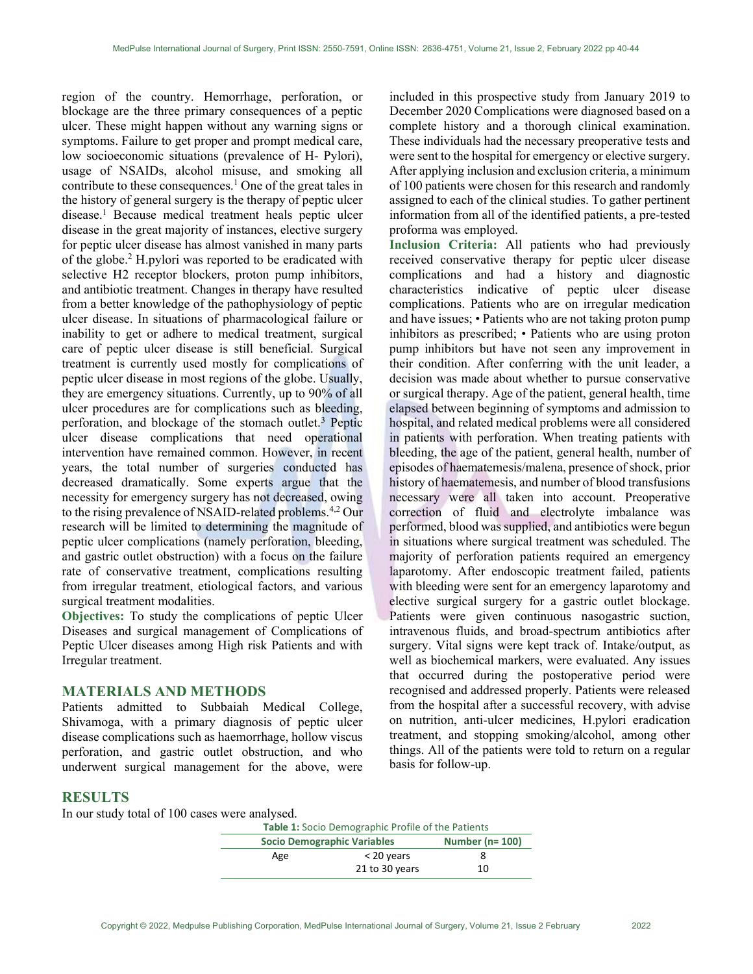region of the country. Hemorrhage, perforation, or blockage are the three primary consequences of a peptic ulcer. These might happen without any warning signs or symptoms. Failure to get proper and prompt medical care, low socioeconomic situations (prevalence of H- Pylori), usage of NSAIDs, alcohol misuse, and smoking all contribute to these consequences.<sup>1</sup> One of the great tales in the history of general surgery is the therapy of peptic ulcer disease.<sup>1</sup> Because medical treatment heals peptic ulcer disease in the great majority of instances, elective surgery for peptic ulcer disease has almost vanished in many parts of the globe.<sup>2</sup> H.pylori was reported to be eradicated with selective H2 receptor blockers, proton pump inhibitors, and antibiotic treatment. Changes in therapy have resulted from a better knowledge of the pathophysiology of peptic ulcer disease. In situations of pharmacological failure or inability to get or adhere to medical treatment, surgical care of peptic ulcer disease is still beneficial. Surgical treatment is currently used mostly for complications of peptic ulcer disease in most regions of the globe. Usually, they are emergency situations. Currently, up to 90% of all ulcer procedures are for complications such as bleeding, perforation, and blockage of the stomach outlet.<sup>3</sup> Peptic ulcer disease complications that need operational intervention have remained common. However, in recent years, the total number of surgeries conducted has decreased dramatically. Some experts argue that the necessity for emergency surgery has not decreased, owing to the rising prevalence of NSAID-related problems.<sup>4,2</sup> Our research will be limited to determining the magnitude of peptic ulcer complications (namely perforation, bleeding, and gastric outlet obstruction) with a focus on the failure rate of conservative treatment, complications resulting from irregular treatment, etiological factors, and various surgical treatment modalities.

Objectives: To study the complications of peptic Ulcer Diseases and surgical management of Complications of Peptic Ulcer diseases among High risk Patients and with Irregular treatment.

#### MATERIALS AND METHODS

Patients admitted to Subbaiah Medical College, Shivamoga, with a primary diagnosis of peptic ulcer disease complications such as haemorrhage, hollow viscus perforation, and gastric outlet obstruction, and who underwent surgical management for the above, were

included in this prospective study from January 2019 to December 2020 Complications were diagnosed based on a complete history and a thorough clinical examination. These individuals had the necessary preoperative tests and were sent to the hospital for emergency or elective surgery. After applying inclusion and exclusion criteria, a minimum of 100 patients were chosen for this research and randomly assigned to each of the clinical studies. To gather pertinent information from all of the identified patients, a pre-tested proforma was employed.

Inclusion Criteria: All patients who had previously received conservative therapy for peptic ulcer disease complications and had a history and diagnostic characteristics indicative of peptic ulcer disease complications. Patients who are on irregular medication and have issues; • Patients who are not taking proton pump inhibitors as prescribed; • Patients who are using proton pump inhibitors but have not seen any improvement in their condition. After conferring with the unit leader, a decision was made about whether to pursue conservative or surgical therapy. Age of the patient, general health, time elapsed between beginning of symptoms and admission to hospital, and related medical problems were all considered in patients with perforation. When treating patients with bleeding, the age of the patient, general health, number of episodes of haematemesis/malena, presence of shock, prior history of haematemesis, and number of blood transfusions necessary were all taken into account. Preoperative correction of fluid and electrolyte imbalance was performed, blood was supplied, and antibiotics were begun in situations where surgical treatment was scheduled. The majority of perforation patients required an emergency laparotomy. After endoscopic treatment failed, patients with bleeding were sent for an emergency laparotomy and elective surgical surgery for a gastric outlet blockage. Patients were given continuous nasogastric suction, intravenous fluids, and broad-spectrum antibiotics after surgery. Vital signs were kept track of. Intake/output, as well as biochemical markers, were evaluated. Any issues that occurred during the postoperative period were recognised and addressed properly. Patients were released from the hospital after a successful recovery, with advise on nutrition, anti-ulcer medicines, H.pylori eradication treatment, and stopping smoking/alcohol, among other things. All of the patients were told to return on a regular basis for follow-up.

### RESULTS

In our study total of 100 cases were analysed.

| Table 1: Socio Demographic Profile of the Patients |                                    |    |  |  |
|----------------------------------------------------|------------------------------------|----|--|--|
|                                                    | <b>Socio Demographic Variables</b> |    |  |  |
| Age                                                | $<$ 20 years                       |    |  |  |
|                                                    | 21 to 30 years                     | 10 |  |  |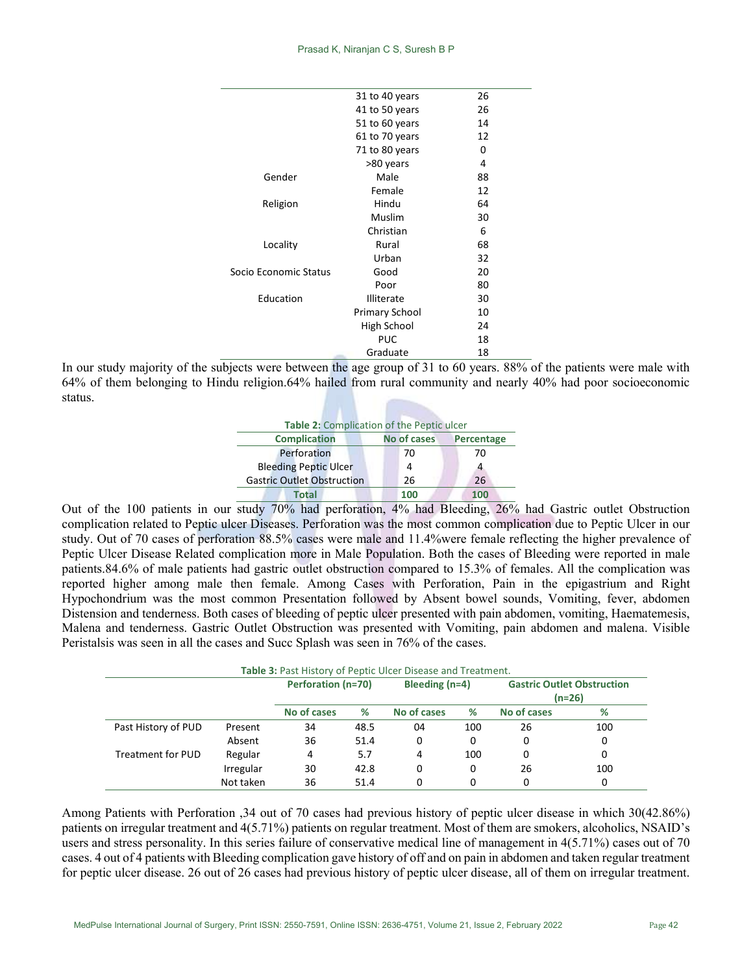| 26<br>31 to 40 years<br>26<br>41 to 50 years<br>51 to 60 years<br>14<br>61 to 70 years<br>12<br>71 to 80 years<br>0<br>>80 years<br>4<br>Gender<br>Male<br>88<br>Female<br>12<br>Hindu<br>64<br>Religion<br>Muslim<br>30<br>Christian<br>6<br>Rural<br>68<br>Locality<br>Urban<br>32<br>Good<br>Socio Economic Status<br>20<br>80<br>Poor<br>Education<br><b>Illiterate</b><br>30<br>10<br><b>Primary School</b><br>High School<br>24<br><b>PUC</b><br>18<br>Graduate<br>18 |  |  |
|-----------------------------------------------------------------------------------------------------------------------------------------------------------------------------------------------------------------------------------------------------------------------------------------------------------------------------------------------------------------------------------------------------------------------------------------------------------------------------|--|--|
|                                                                                                                                                                                                                                                                                                                                                                                                                                                                             |  |  |
|                                                                                                                                                                                                                                                                                                                                                                                                                                                                             |  |  |
|                                                                                                                                                                                                                                                                                                                                                                                                                                                                             |  |  |
|                                                                                                                                                                                                                                                                                                                                                                                                                                                                             |  |  |
|                                                                                                                                                                                                                                                                                                                                                                                                                                                                             |  |  |
|                                                                                                                                                                                                                                                                                                                                                                                                                                                                             |  |  |
|                                                                                                                                                                                                                                                                                                                                                                                                                                                                             |  |  |
|                                                                                                                                                                                                                                                                                                                                                                                                                                                                             |  |  |
|                                                                                                                                                                                                                                                                                                                                                                                                                                                                             |  |  |
|                                                                                                                                                                                                                                                                                                                                                                                                                                                                             |  |  |
|                                                                                                                                                                                                                                                                                                                                                                                                                                                                             |  |  |
|                                                                                                                                                                                                                                                                                                                                                                                                                                                                             |  |  |
|                                                                                                                                                                                                                                                                                                                                                                                                                                                                             |  |  |
|                                                                                                                                                                                                                                                                                                                                                                                                                                                                             |  |  |
|                                                                                                                                                                                                                                                                                                                                                                                                                                                                             |  |  |
|                                                                                                                                                                                                                                                                                                                                                                                                                                                                             |  |  |
|                                                                                                                                                                                                                                                                                                                                                                                                                                                                             |  |  |
|                                                                                                                                                                                                                                                                                                                                                                                                                                                                             |  |  |
|                                                                                                                                                                                                                                                                                                                                                                                                                                                                             |  |  |
|                                                                                                                                                                                                                                                                                                                                                                                                                                                                             |  |  |

In our study majority of the subjects were between the age group of 31 to 60 years. 88% of the patients were male with 64% of them belonging to Hindu religion.64% hailed from rural community and nearly 40% had poor socioeconomic status.

| Table 2: Complication of the Peptic ulcer |                    |            |  |  |  |  |  |
|-------------------------------------------|--------------------|------------|--|--|--|--|--|
| <b>Complication</b>                       | <b>No of cases</b> | Percentage |  |  |  |  |  |
| Perforation                               | 70                 | 70         |  |  |  |  |  |
| <b>Bleeding Peptic Ulcer</b>              | 4                  |            |  |  |  |  |  |
| <b>Gastric Outlet Obstruction</b>         | 26                 | 26         |  |  |  |  |  |
| <b>Total</b>                              | 100                | 100        |  |  |  |  |  |

Out of the 100 patients in our study 70% had perforation, 4% had Bleeding, 26% had Gastric outlet Obstruction complication related to Peptic ulcer Diseases. Perforation was the most common complication due to Peptic Ulcer in our study. Out of 70 cases of perforation 88.5% cases were male and 11.4%were female reflecting the higher prevalence of Peptic Ulcer Disease Related complication more in Male Population. Both the cases of Bleeding were reported in male patients.84.6% of male patients had gastric outlet obstruction compared to 15.3% of females. All the complication was reported higher among male then female. Among Cases with Perforation, Pain in the epigastrium and Right Hypochondrium was the most common Presentation followed by Absent bowel sounds, Vomiting, fever, abdomen Distension and tenderness. Both cases of bleeding of peptic ulcer presented with pain abdomen, vomiting, Haematemesis, Malena and tenderness. Gastric Outlet Obstruction was presented with Vomiting, pain abdomen and malena. Visible Peristalsis was seen in all the cases and Succ Splash was seen in 76% of the cases.

| Table 3: Past History of Peptic Ulcer Disease and Treatment. |           |                    |      |                  |     |                                   |        |
|--------------------------------------------------------------|-----------|--------------------|------|------------------|-----|-----------------------------------|--------|
|                                                              |           | Perforation (n=70) |      | Bleeding $(n=4)$ |     | <b>Gastric Outlet Obstruction</b> |        |
|                                                              |           |                    |      |                  |     |                                   | (n=26) |
|                                                              |           | No of cases        | %    | No of cases      | %   | No of cases                       | %      |
| Past History of PUD                                          | Present   | 34                 | 48.5 | 04               | 100 | 26                                | 100    |
|                                                              | Absent    | 36                 | 51.4 | 0                | 0   | 0                                 | 0      |
| <b>Treatment for PUD</b>                                     | Regular   | 4                  | 5.7  | 4                | 100 | 0                                 | 0      |
|                                                              | Irregular | 30                 | 42.8 | 0                | 0   | 26                                | 100    |
|                                                              | Not taken | 36                 | 51.4 | 0                | 0   | 0                                 | 0      |

Among Patients with Perforation ,34 out of 70 cases had previous history of peptic ulcer disease in which 30(42.86%) patients on irregular treatment and 4(5.71%) patients on regular treatment. Most of them are smokers, alcoholics, NSAID's users and stress personality. In this series failure of conservative medical line of management in 4(5.71%) cases out of 70 cases. 4 out of 4 patients with Bleeding complication gave history of off and on pain in abdomen and taken regular treatment for peptic ulcer disease. 26 out of 26 cases had previous history of peptic ulcer disease, all of them on irregular treatment.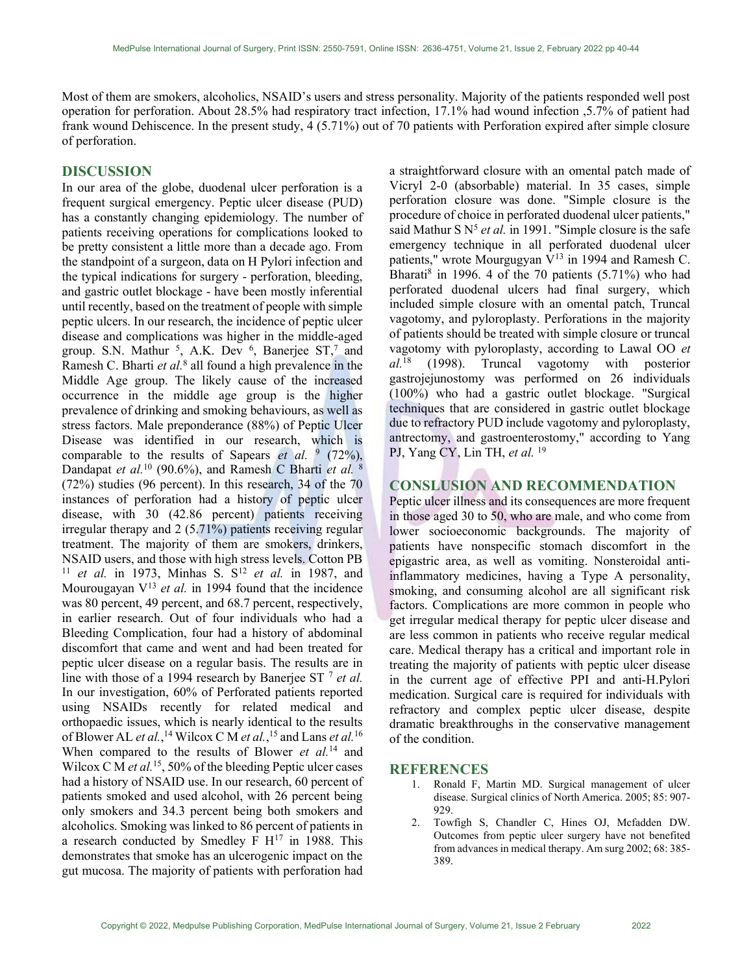Most of them are smokers, alcoholics, NSAID's users and stress personality. Majority of the patients responded well post operation for perforation. About 28.5% had respiratory tract infection, 17.1% had wound infection ,5.7% of patient had frank wound Dehiscence. In the present study, 4 (5.71%) out of 70 patients with Perforation expired after simple closure of perforation.

#### DISCUSSION

In our area of the globe, duodenal ulcer perforation is a frequent surgical emergency. Peptic ulcer disease (PUD) has a constantly changing epidemiology. The number of patients receiving operations for complications looked to be pretty consistent a little more than a decade ago. From the standpoint of a surgeon, data on H Pylori infection and the typical indications for surgery - perforation, bleeding, and gastric outlet blockage - have been mostly inferential until recently, based on the treatment of people with simple peptic ulcers. In our research, the incidence of peptic ulcer disease and complications was higher in the middle-aged group. S.N. Mathur<sup>5</sup>, A.K. Dev<sup>6</sup>, Banerjee ST,<sup>7</sup> and Ramesh C. Bharti et al.<sup>8</sup> all found a high prevalence in the Middle Age group. The likely cause of the increased occurrence in the middle age group is the higher prevalence of drinking and smoking behaviours, as well as stress factors. Male preponderance (88%) of Peptic Ulcer Disease was identified in our research, which is comparable to the results of Sapears *et al.*  $\frac{9}{2}$  (72%), Dandapat et al.<sup>10</sup> (90.6%), and Ramesh C Bharti et al.  $8$ (72%) studies (96 percent). In this research, 34 of the 70 instances of perforation had a history of peptic ulcer disease, with 30 (42.86 percent) patients receiving irregular therapy and 2 (5.71%) patients receiving regular treatment. The majority of them are smokers, drinkers, NSAID users, and those with high stress levels. Cotton PB <sup>11</sup> et al. in 1973, Minhas S.  $S^{12}$  et al. in 1987, and Mourougayan  $V^{13}$  et al. in 1994 found that the incidence was 80 percent, 49 percent, and 68.7 percent, respectively, in earlier research. Out of four individuals who had a Bleeding Complication, four had a history of abdominal discomfort that came and went and had been treated for peptic ulcer disease on a regular basis. The results are in line with those of a 1994 research by Banerjee ST  $^7$  et al. In our investigation, 60% of Perforated patients reported using NSAIDs recently for related medical and orthopaedic issues, which is nearly identical to the results of Blower AL *et al.*,<sup>14</sup> Wilcox C M *et al.*,<sup>15</sup> and Lans *et al.*<sup>16</sup> When compared to the results of Blower et  $al$ <sup>14</sup> and Wilcox C M et al.<sup>15</sup>, 50% of the bleeding Peptic ulcer cases had a history of NSAID use. In our research, 60 percent of patients smoked and used alcohol, with 26 percent being only smokers and 34.3 percent being both smokers and alcoholics. Smoking was linked to 86 percent of patients in a research conducted by Smedley F  $H^{17}$  in 1988. This demonstrates that smoke has an ulcerogenic impact on the gut mucosa. The majority of patients with perforation had

a straightforward closure with an omental patch made of Vicryl 2-0 (absorbable) material. In 35 cases, simple perforation closure was done. "Simple closure is the procedure of choice in perforated duodenal ulcer patients," said Mathur S  $N^5$  *et al.* in 1991. "Simple closure is the safe emergency technique in all perforated duodenal ulcer patients," wrote Mourgugyan  $\bar{V}^{13}$  in 1994 and Ramesh C. Bharati $\delta$  in 1996. 4 of the 70 patients (5.71%) who had perforated duodenal ulcers had final surgery, which included simple closure with an omental patch, Truncal vagotomy, and pyloroplasty. Perforations in the majority of patients should be treated with simple closure or truncal vagotomy with pyloroplasty, according to Lawal OO et  $al.^{18}$  (1998). Truncal vagotomy with posterior gastrojejunostomy was performed on 26 individuals (100%) who had a gastric outlet blockage. "Surgical techniques that are considered in gastric outlet blockage due to refractory PUD include vagotomy and pyloroplasty, antrectomy, and gastroenterostomy," according to Yang PJ, Yang CY, Lin TH, et al. <sup>19</sup>

## CONSLUSION AND RECOMMENDATION

Peptic ulcer illness and its consequences are more frequent in those aged 30 to 50, who are male, and who come from lower socioeconomic backgrounds. The majority of patients have nonspecific stomach discomfort in the epigastric area, as well as vomiting. Nonsteroidal antiinflammatory medicines, having a Type A personality, smoking, and consuming alcohol are all significant risk factors. Complications are more common in people who get irregular medical therapy for peptic ulcer disease and are less common in patients who receive regular medical care. Medical therapy has a critical and important role in treating the majority of patients with peptic ulcer disease in the current age of effective PPI and anti-H.Pylori medication. Surgical care is required for individuals with refractory and complex peptic ulcer disease, despite dramatic breakthroughs in the conservative management of the condition.

#### **REFERENCES**

- 1. Ronald F, Martin MD. Surgical management of ulcer disease. Surgical clinics of North America. 2005; 85: 907- 929.
- 2. Towfigh S, Chandler C, Hines OJ, Mcfadden DW. Outcomes from peptic ulcer surgery have not benefited from advances in medical therapy. Am surg 2002; 68: 385- 389.